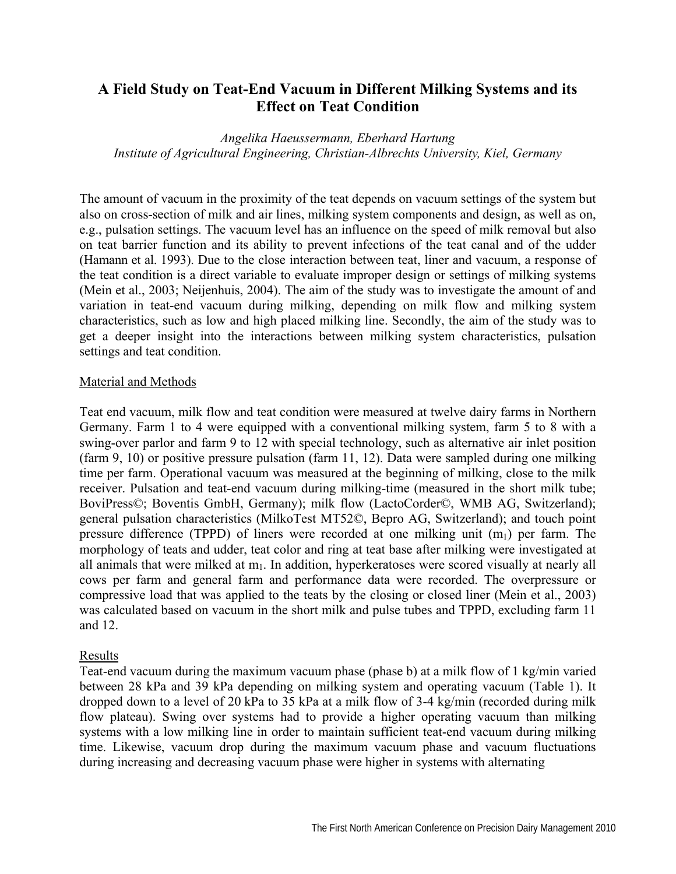# **A Field Study on Teat-End Vacuum in Different Milking Systems and its Effect on Teat Condition**

*Angelika Haeussermann, Eberhard Hartung Institute of Agricultural Engineering, Christian-Albrechts University, Kiel, Germany* 

The amount of vacuum in the proximity of the teat depends on vacuum settings of the system but also on cross-section of milk and air lines, milking system components and design, as well as on, e.g., pulsation settings. The vacuum level has an influence on the speed of milk removal but also on teat barrier function and its ability to prevent infections of the teat canal and of the udder (Hamann et al. 1993). Due to the close interaction between teat, liner and vacuum, a response of the teat condition is a direct variable to evaluate improper design or settings of milking systems (Mein et al., 2003; Neijenhuis, 2004). The aim of the study was to investigate the amount of and variation in teat-end vacuum during milking, depending on milk flow and milking system characteristics, such as low and high placed milking line. Secondly, the aim of the study was to get a deeper insight into the interactions between milking system characteristics, pulsation settings and teat condition.

### Material and Methods

Teat end vacuum, milk flow and teat condition were measured at twelve dairy farms in Northern Germany. Farm 1 to 4 were equipped with a conventional milking system, farm 5 to 8 with a swing-over parlor and farm 9 to 12 with special technology, such as alternative air inlet position (farm 9, 10) or positive pressure pulsation (farm 11, 12). Data were sampled during one milking time per farm. Operational vacuum was measured at the beginning of milking, close to the milk receiver. Pulsation and teat-end vacuum during milking-time (measured in the short milk tube; BoviPress©; Boventis GmbH, Germany); milk flow (LactoCorder©, WMB AG, Switzerland); general pulsation characteristics (MilkoTest MT52©, Bepro AG, Switzerland); and touch point pressure difference (TPPD) of liners were recorded at one milking unit  $(m_1)$  per farm. The morphology of teats and udder, teat color and ring at teat base after milking were investigated at all animals that were milked at  $m_1$ . In addition, hyperkeratoses were scored visually at nearly all cows per farm and general farm and performance data were recorded. The overpressure or compressive load that was applied to the teats by the closing or closed liner (Mein et al., 2003) was calculated based on vacuum in the short milk and pulse tubes and TPPD, excluding farm 11 and 12.

## Results

Teat-end vacuum during the maximum vacuum phase (phase b) at a milk flow of 1 kg/min varied between 28 kPa and 39 kPa depending on milking system and operating vacuum (Table 1). It dropped down to a level of 20 kPa to 35 kPa at a milk flow of 3-4 kg/min (recorded during milk flow plateau). Swing over systems had to provide a higher operating vacuum than milking systems with a low milking line in order to maintain sufficient teat-end vacuum during milking time. Likewise, vacuum drop during the maximum vacuum phase and vacuum fluctuations during increasing and decreasing vacuum phase were higher in systems with alternating